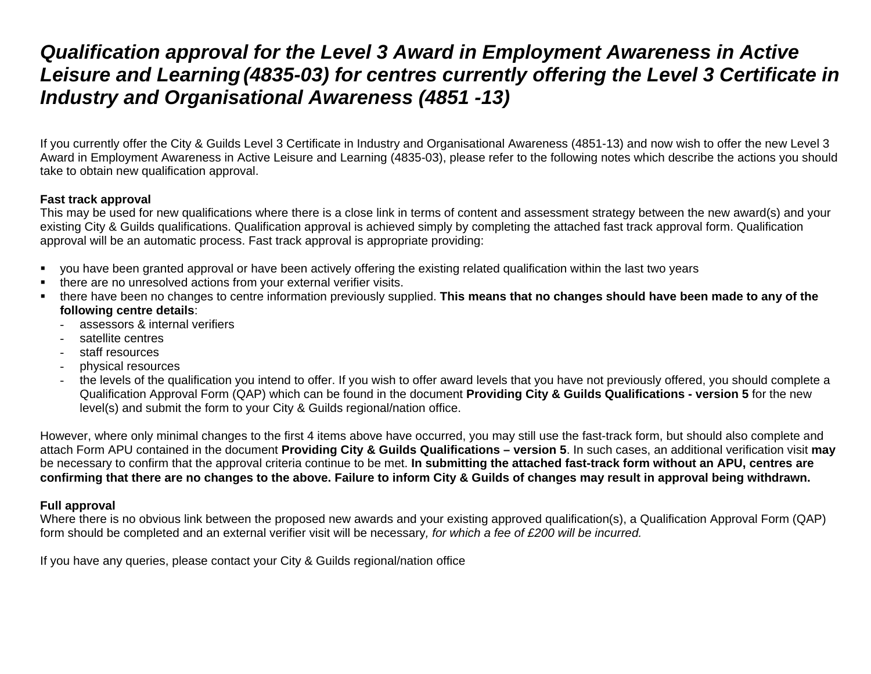## *Qualification approval for the Level 3 Award in Employment Awareness in Active Leisure and Learning(4835-03) for centres currently offering the Level 3 Certificate in Industry and Organisational Awareness (4851 -13)*

If you currently offer the City & Guilds Level 3 Certificate in Industry and Organisational Awareness (4851-13) and now wish to offer the new Level 3 Award in Employment Awareness in Active Leisure and Learning (4835-03), please refer to the following notes which describe the actions you should take to obtain new qualification approval.

## **Fast track approval**

This may be used for new qualifications where there is a close link in terms of content and assessment strategy between the new award(s) and your existing City & Guilds qualifications. Qualification approval is achieved simply by completing the attached fast track approval form. Qualification approval will be an automatic process. Fast track approval is appropriate providing:

- you have been granted approval or have been actively offering the existing related qualification within the last two years
- **there are no unresolved actions from your external verifier visits.**
- there have been no changes to centre information previously supplied. **This means that no changes should have been made to any of the following centre details**:
	- assessors & internal verifiers
	- satellite centres
	- staff resources
	- physical resources
	- the levels of the qualification you intend to offer. If you wish to offer award levels that you have not previously offered, you should complete a Qualification Approval Form (QAP) which can be found in the document **Providing City & Guilds Qualifications - version 5** for the new level(s) and submit the form to your City & Guilds regional/nation office.

However, where only minimal changes to the first 4 items above have occurred, you may still use the fast-track form, but should also complete and attach Form APU contained in the document **Providing City & Guilds Qualifications – version 5**. In such cases, an additional verification visit **may** be necessary to confirm that the approval criteria continue to be met. **In submitting the attached fast-track form without an APU, centres are confirming that there are no changes to the above. Failure to inform City & Guilds of changes may result in approval being withdrawn.**

## **Full approval**

Where there is no obvious link between the proposed new awards and your existing approved qualification(s), a Qualification Approval Form (QAP) form should be completed and an external verifier visit will be necessary*, for which a fee of £200 will be incurred.* 

If you have any queries, please contact your City & Guilds regional/nation office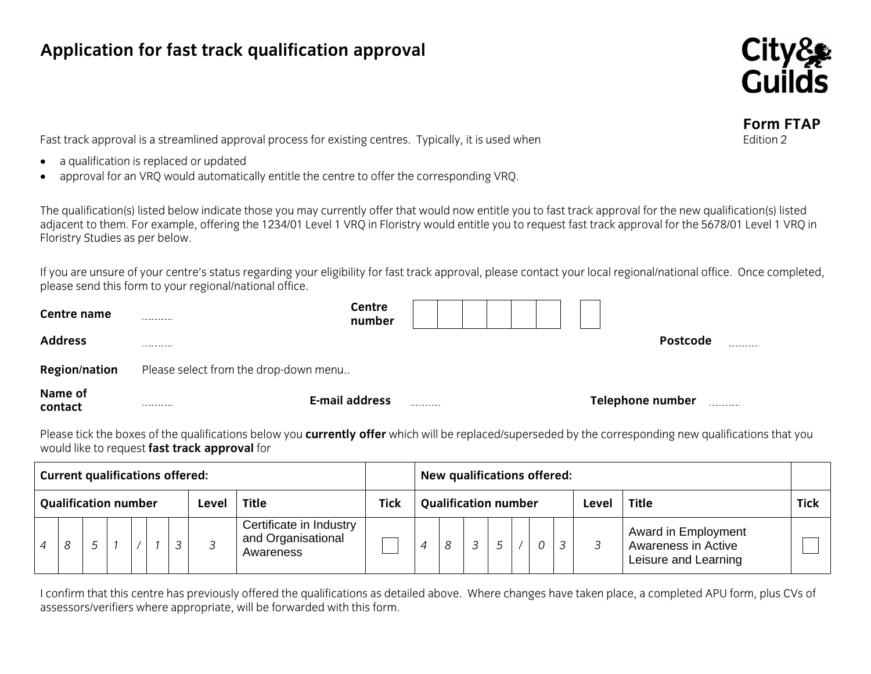## **Application for fast track qualification approval**



**Form FTAP**

Fast track approval is a streamlined approval process for existing centres. Typically, it is used when Edition 2

- •a qualification is replaced or updated
- •approval for an VRQ would automatically entitle the centre to offer the corresponding VRQ.

The qualification(s) listed below indicate those you may currently offer that would now entitle you to fast track approval for the new qualification(s) listed adjacent to them. For example, offering the 1234/01 Level 1 VRQ in Floristry would entitle you to request fast track approval for the 5678/01 Level 1 VRQ in Floristry Studies as per below.

If you are unsure of your centre's status regarding your eligibility for fast track approval, please contact your local regional/national office. Once completed, please send this form to your regional/national office.

| Centre name<br><b>Address</b> | ---------<br>---------                | number                |            |  |  |  | <b>Postcode</b>  | ---------  |
|-------------------------------|---------------------------------------|-----------------------|------------|--|--|--|------------------|------------|
| <b>Region/nation</b>          | Please select from the drop-down menu |                       |            |  |  |  |                  |            |
| Name of<br>contact            | .                                     | <b>E-mail address</b> | ---------- |  |  |  | Telephone number | ---------- |

Please tick the boxes of the qualifications below you **currently offer** which will be replaced/superseded by the corresponding new qualifications that you would like to request **fast track approval** for

| <b>Current qualifications offered:</b>               |  |  |  |  |  | New qualifications offered: |                             |                                                            |  |  |               |                |  |       |              |             |  |                                                                    |  |
|------------------------------------------------------|--|--|--|--|--|-----------------------------|-----------------------------|------------------------------------------------------------|--|--|---------------|----------------|--|-------|--------------|-------------|--|--------------------------------------------------------------------|--|
| <b>Qualification number</b><br><b>Title</b><br>Level |  |  |  |  |  | <b>Tick</b>                 | <b>Qualification number</b> |                                                            |  |  |               |                |  | Level | <b>Title</b> | <b>Tick</b> |  |                                                                    |  |
|                                                      |  |  |  |  |  |                             |                             | Certificate in Industry<br>and Organisational<br>Awareness |  |  | $\mathcal{R}$ | $\overline{3}$ |  |       |              |             |  | Award in Employment<br>Awareness in Active<br>Leisure and Learning |  |

I confirm that this centre has previously offered the qualifications as detailed above. Where changes have taken place, a completed APU form, plus CVs of assessors/verifiers where appropriate, will be forwarded with this form.